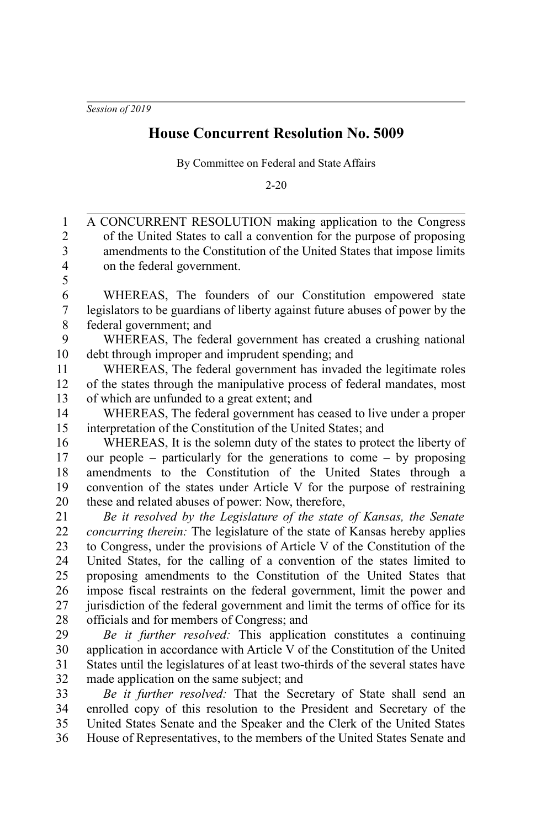## **House Concurrent Resolution No. 5009**

By Committee on Federal and State Affairs

2-20

| $\mathbf{1}$            | A CONCURRENT RESOLUTION making application to the Congress                      |
|-------------------------|---------------------------------------------------------------------------------|
| $\overline{c}$          | of the United States to call a convention for the purpose of proposing          |
| $\overline{\mathbf{3}}$ | amendments to the Constitution of the United States that impose limits          |
| $\overline{4}$          | on the federal government.                                                      |
| 5                       |                                                                                 |
| 6                       | WHEREAS, The founders of our Constitution empowered state                       |
| $\boldsymbol{7}$        | legislators to be guardians of liberty against future abuses of power by the    |
| 8                       | federal government; and                                                         |
| 9                       | WHEREAS, The federal government has created a crushing national                 |
| 10                      | debt through improper and imprudent spending; and                               |
| 11                      | WHEREAS, The federal government has invaded the legitimate roles                |
| 12                      | of the states through the manipulative process of federal mandates, most        |
| 13                      | of which are unfunded to a great extent; and                                    |
| 14                      | WHEREAS, The federal government has ceased to live under a proper               |
| 15                      | interpretation of the Constitution of the United States; and                    |
| 16                      | WHEREAS, It is the solemn duty of the states to protect the liberty of          |
| 17                      | our people – particularly for the generations to come – by proposing            |
| 18                      | amendments to the Constitution of the United States through a                   |
| 19                      | convention of the states under Article V for the purpose of restraining         |
| 20                      | these and related abuses of power: Now, therefore,                              |
| 21                      | Be it resolved by the Legislature of the state of Kansas, the Senate            |
| 22                      | concurring therein: The legislature of the state of Kansas hereby applies       |
| 23                      | to Congress, under the provisions of Article V of the Constitution of the       |
| 24                      | United States, for the calling of a convention of the states limited to         |
| 25                      | proposing amendments to the Constitution of the United States that              |
| 26                      | impose fiscal restraints on the federal government, limit the power and         |
| 27                      | jurisdiction of the federal government and limit the terms of office for its    |
| 28                      | officials and for members of Congress; and                                      |
| 29                      | Be it further resolved: This application constitutes a continuing               |
| 30                      | application in accordance with Article V of the Constitution of the United      |
| 31                      | States until the legislatures of at least two-thirds of the several states have |
| 32                      | made application on the same subject; and                                       |
| 33                      | Be it further resolved: That the Secretary of State shall send an               |
| 34                      | enrolled copy of this resolution to the President and Secretary of the          |
| 35                      | United States Senate and the Speaker and the Clerk of the United States         |

House of Representatives, to the members of the United States Senate and 36